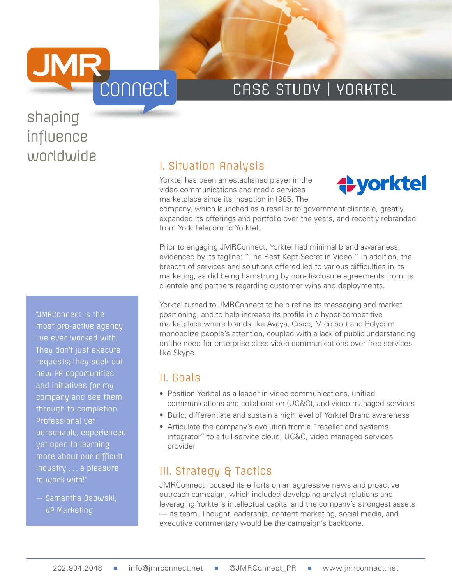

# CASE STUDY | YORKTEL

# shaping influence worldwide<br>
I. Situation Analysis

"JMRConnect is the most pro-active agency I've ever worked with. They don't just execute requests; they seek out new PR opportunities and initiatives for my company and see them through to completion. Professional yet personable, experienced yet open to learning more about our difficult industry . . . a pleasure to work with!"

— Samantha Osowski, VP Marketing

Yorktel has been an established player in the video communications and media services marketplace since its inception in1985. The



company, which launched as a reseller to government clientele, greatly expanded its offerings and portfolio over the years, and recently rebranded from York Telecom to Yorktel.

Prior to engaging JMRConnect, Yorktel had minimal brand awareness, evidenced by its tagline: "The Best Kept Secret in Video." In addition, the breadth of services and solutions offered led to various difficulties in its marketing, as did being hamstrung by non-disclosure agreements from its clientele and partners regarding customer wins and deployments.

Yorktel turned to JMRConnect to help refine its messaging and market positioning, and to help increase its profile in a hyper-competitive marketplace where brands like Avaya, Cisco, Microsoft and Polycom monopolize people's attention, coupled with a lack of public understanding on the need for enterprise-class video communications over free services like Skype.

#### II. Goals

- Position Yorktel as a leader in video communications, unified communications and collaboration (UC&C), and video managed services
- Build, differentiate and sustain a high level of Yorktel Brand awareness
- Articulate the company's evolution from a "reseller and systems integrator" to a full-service cloud, UC&C, video managed services provider

#### III. Strategy & Tactics

JMRConnect focused its efforts on an aggressive news and proactive outreach campaign, which included developing analyst relations and leveraging Yorktel's intellectual capital and the company's strongest assets — its team. Thought leadership, content marketing, social media, and executive commentary would be the campaign's backbone.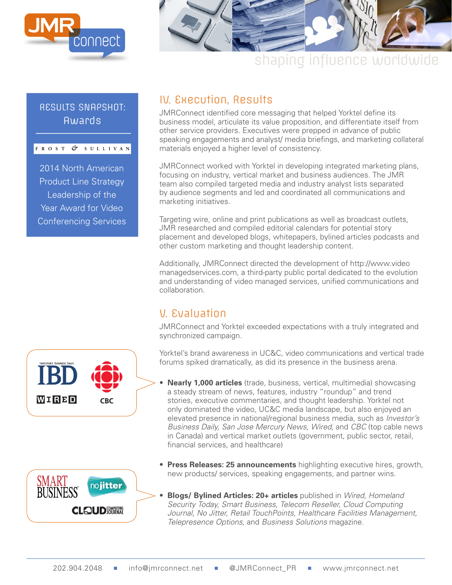

#### RESULTS SNAPSHOT: Awards

|  |  |  |  |  | FROST & SULLIVAN |  |  |  |  |  |  |  |  |
|--|--|--|--|--|------------------|--|--|--|--|--|--|--|--|
|--|--|--|--|--|------------------|--|--|--|--|--|--|--|--|

2014 North American Product Line Strategy Leadership of the Year Award for Video Conferencing Services



# shaping influence worldwide

### IV. Execution, Results

JMRConnect identified core messaging that helped Yorktel define its business model, articulate its value proposition, and differentiate itself from other service providers. Executives were prepped in advance of public speaking engagements and analyst/ media briefings, and marketing collateral materials enjoyed a higher level of consistency.

JMRConnect worked with Yorktel in developing integrated marketing plans, focusing on industry, vertical market and business audiences. The JMR team also compiled targeted media and industry analyst lists separated by audience segments and led and coordinated all communications and marketing initiatives.

Targeting wire, online and print publications as well as broadcast outlets, JMR researched and compiled editorial calendars for potential story placement and developed blogs, whitepapers, bylined articles podcasts and other custom marketing and thought leadership content.

Additionally, JMRConnect directed the development of http://www.video managedservices.com, a third-party public portal dedicated to the evolution and understanding of video managed services, unified communications and collaboration.

## V. Evaluation

JMRConnect and Yorktel exceeded expectations with a truly integrated and synchronized campaign.

Yorktel's brand awareness in UC&C, video communications and vertical trade forums spiked dramatically, as did its presence in the business arena.

- **Nearly 1,000 articles** (trade, business, vertical, multimedia) showcasing a steady stream of news, features, industry "roundup" and trend stories, executive commentaries, and thought leadership. Yorktel not only dominated the video, UC&C media landscape, but also enjoyed an elevated presence in national/regional business media, such as Investor's Business Daily, San Jose Mercury News, Wired, and CBC (top cable news in Canada) and vertical market outlets (government, public sector, retail, financial services, and healthcare)
- nojitter **CLEOUD** COMPUTING
- **Press Releases: 25 announcements** highlighting executive hires, growth, new products/ services, speaking engagements, and partner wins.
- **Blogs/ Bylined Articles: 20+ articles** published in Wired, Homeland Security Today, Smart Business, Telecom Reseller, Cloud Computing Journal, No Jitter, Retail TouchPoints, Healthcare Facilities Management, Telepresence Options, and Business Solutions magazine.